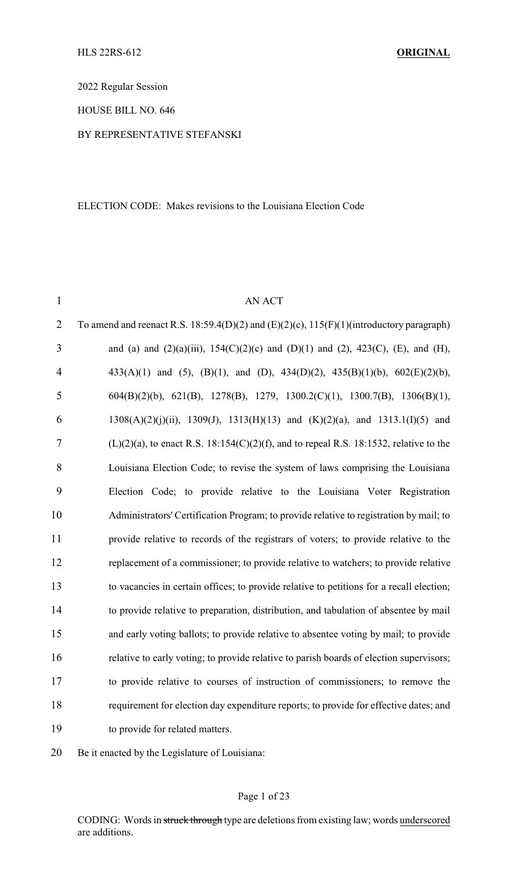2022 Regular Session

HOUSE BILL NO. 646

#### BY REPRESENTATIVE STEFANSKI

#### ELECTION CODE: Makes revisions to the Louisiana Election Code

| $\mathbf{1}$   | AN ACT                                                                                       |
|----------------|----------------------------------------------------------------------------------------------|
| $\overline{2}$ | To amend and reenact R.S. 18:59.4(D)(2) and (E)(2)(c), $115(F)(1)$ (introductory paragraph)  |
| $\overline{3}$ | and (a) and (2)(a)(iii), 154(C)(2)(c) and (D)(1) and (2), 423(C), (E), and (H),              |
| $\overline{4}$ | 433(A)(1) and (5), (B)(1), and (D), 434(D)(2), 435(B)(1)(b), $602(E)(2)(b)$ ,                |
| 5              | $604(B)(2)(b)$ , 621(B), 1278(B), 1279, 1300.2(C)(1), 1300.7(B), 1306(B)(1),                 |
| 6              | $1308(A)(2)(j)(ii)$ , $1309(J)$ , $1313(H)(13)$ and $(K)(2)(a)$ , and $1313.1(I)(5)$ and     |
| 7              | $(L)(2)(a)$ , to enact R.S. 18:154 $(C)(2)(f)$ , and to repeal R.S. 18:1532, relative to the |
| 8              | Louisiana Election Code; to revise the system of laws comprising the Louisiana               |
| 9              | Election Code; to provide relative to the Louisiana Voter Registration                       |
| 10             | Administrators' Certification Program; to provide relative to registration by mail; to       |
| 11             | provide relative to records of the registrars of voters; to provide relative to the          |
| 12             | replacement of a commissioner; to provide relative to watchers; to provide relative          |
| 13             | to vacancies in certain offices; to provide relative to petitions for a recall election;     |
| 14             | to provide relative to preparation, distribution, and tabulation of absentee by mail         |
| 15             | and early voting ballots; to provide relative to absentee voting by mail; to provide         |
| 16             | relative to early voting; to provide relative to parish boards of election supervisors;      |
| 17             | to provide relative to courses of instruction of commissioners; to remove the                |
| 18             | requirement for election day expenditure reports; to provide for effective dates; and        |
| 19             | to provide for related matters.                                                              |
|                |                                                                                              |

Be it enacted by the Legislature of Louisiana: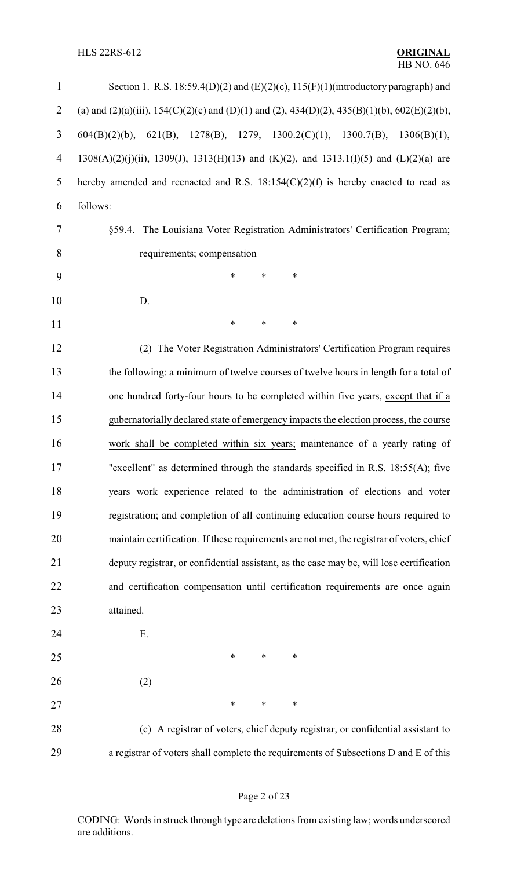### HLS 22RS-612 **ORIGINAL**

| $\mathbf{1}$   | Section 1. R.S. 18:59.4(D)(2) and (E)(2)(c), 115(F)(1)(introductory paragraph) and                    |
|----------------|-------------------------------------------------------------------------------------------------------|
| $\overline{2}$ | (a) and (2)(a)(iii), 154(C)(2)(c) and (D)(1) and (2), 434(D)(2), 435(B)(1)(b), 602(E)(2)(b),          |
| 3              | 1278(B), 1279, 1300.2(C)(1), 1300.7(B),<br>$604(B)(2)(b)$ ,<br>$621(B)$ ,<br>1306(B)(1),              |
| $\overline{4}$ | $1308(A)(2)(j)(ii)$ , $1309(J)$ , $1313(H)(13)$ and $(K)(2)$ , and $1313.1(I)(5)$ and $(L)(2)(a)$ are |
| 5              | hereby amended and reenacted and R.S. $18:154(C)(2)(f)$ is hereby enacted to read as                  |
| 6              | follows:                                                                                              |
| 7              | §59.4. The Louisiana Voter Registration Administrators' Certification Program;                        |
| 8              | requirements; compensation                                                                            |
| 9              | $\ast$<br>*<br>*                                                                                      |
| 10             | D.                                                                                                    |
| 11             | *<br>$\ast$<br>*                                                                                      |
| 12             | (2) The Voter Registration Administrators' Certification Program requires                             |
| 13             | the following: a minimum of twelve courses of twelve hours in length for a total of                   |
| 14             | one hundred forty-four hours to be completed within five years, except that if a                      |
| 15             | gubernatorially declared state of emergency impacts the election process, the course                  |
| 16             | work shall be completed within six years; maintenance of a yearly rating of                           |
| 17             | "excellent" as determined through the standards specified in R.S. 18:55(A); five                      |
| 18             | years work experience related to the administration of elections and voter                            |
| 19             | registration; and completion of all continuing education course hours required to                     |
| 20             | maintain certification. If these requirements are not met, the registrar of voters, chief             |
| 21             | deputy registrar, or confidential assistant, as the case may be, will lose certification              |
| 22             | and certification compensation until certification requirements are once again                        |
| 23             | attained.                                                                                             |
| 24             | Ε.                                                                                                    |
| 25             | *<br>*<br>∗                                                                                           |
| 26             | (2)                                                                                                   |
| 27             | ∗<br>*<br>∗                                                                                           |
| 28             | (c) A registrar of voters, chief deputy registrar, or confidential assistant to                       |
| 29             | a registrar of voters shall complete the requirements of Subsections D and E of this                  |

# Page 2 of 23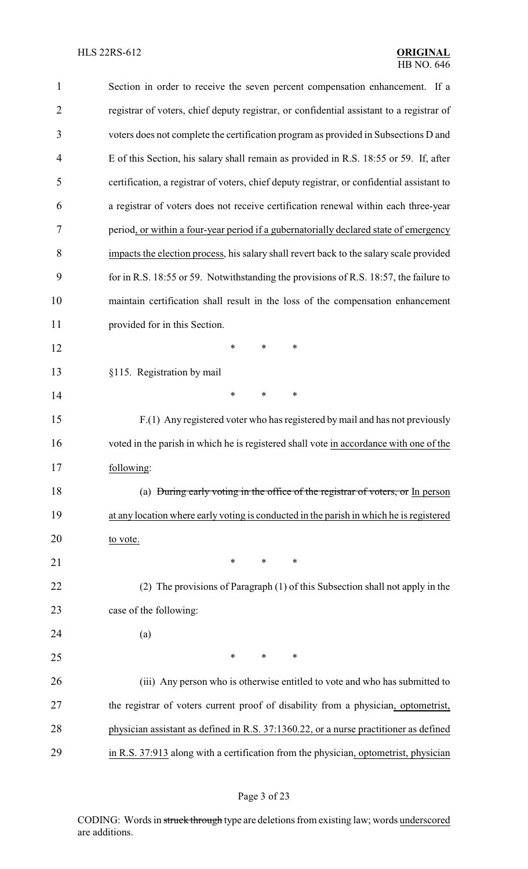| $\mathbf{1}$   | Section in order to receive the seven percent compensation enhancement. If a               |
|----------------|--------------------------------------------------------------------------------------------|
| $\overline{2}$ | registrar of voters, chief deputy registrar, or confidential assistant to a registrar of   |
| 3              | voters does not complete the certification program as provided in Subsections D and        |
| $\overline{4}$ | E of this Section, his salary shall remain as provided in R.S. 18:55 or 59. If, after      |
| 5              | certification, a registrar of voters, chief deputy registrar, or confidential assistant to |
| 6              | a registrar of voters does not receive certification renewal within each three-year        |
| 7              | period, or within a four-year period if a gubernatorially declared state of emergency      |
| 8              | impacts the election process, his salary shall revert back to the salary scale provided    |
| 9              | for in R.S. 18:55 or 59. Notwithstanding the provisions of R.S. 18:57, the failure to      |
| 10             | maintain certification shall result in the loss of the compensation enhancement            |
| 11             | provided for in this Section.                                                              |
| 12             | *<br>$\ast$<br>∗                                                                           |
| 13             | §115. Registration by mail                                                                 |
| 14             | *<br>∗<br>∗                                                                                |
| 15             | F.(1) Any registered voter who has registered by mail and has not previously               |
| 16             | voted in the parish in which he is registered shall vote in accordance with one of the     |
| 17             | following:                                                                                 |
| 18             | (a) During early voting in the office of the registrar of voters, or In person             |
| 19             | at any location where early voting is conducted in the parish in which he is registered    |
| 20             | to vote.                                                                                   |
| 21             | ∗<br>*<br>∗                                                                                |
| 22             | (2) The provisions of Paragraph (1) of this Subsection shall not apply in the              |
| 23             | case of the following:                                                                     |
| 24             | (a)                                                                                        |
| 25             | ∗<br>∗<br>∗                                                                                |
| 26             | (iii) Any person who is otherwise entitled to vote and who has submitted to                |
| 27             | the registrar of voters current proof of disability from a physician, optometrist,         |
| 28             | physician assistant as defined in R.S. 37:1360.22, or a nurse practitioner as defined      |
| 29             | in R.S. 37:913 along with a certification from the physician, optometrist, physician       |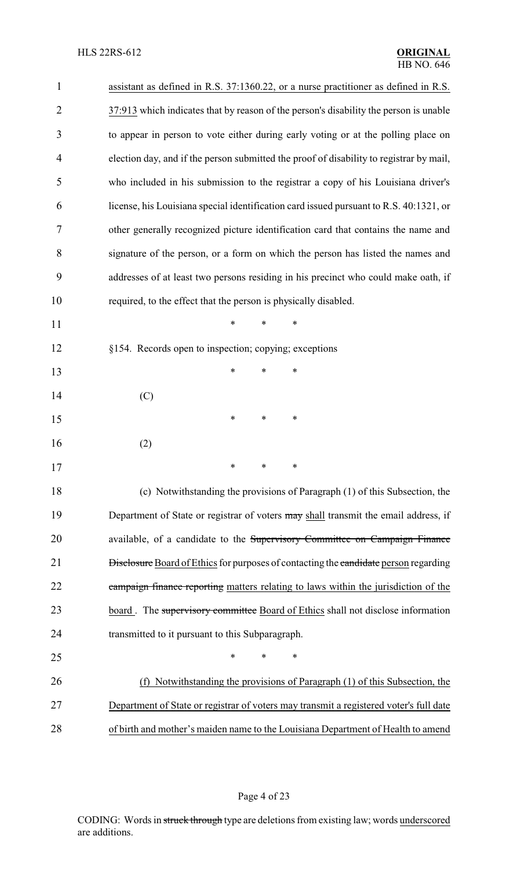| $\mathbf{1}$   | assistant as defined in R.S. 37:1360.22, or a nurse practitioner as defined in R.S.         |
|----------------|---------------------------------------------------------------------------------------------|
| $\overline{2}$ | 37:913 which indicates that by reason of the person's disability the person is unable       |
| 3              | to appear in person to vote either during early voting or at the polling place on           |
| 4              | election day, and if the person submitted the proof of disability to registrar by mail,     |
| 5              | who included in his submission to the registrar a copy of his Louisiana driver's            |
| 6              | license, his Louisiana special identification card issued pursuant to R.S. 40:1321, or      |
| 7              | other generally recognized picture identification card that contains the name and           |
| 8              | signature of the person, or a form on which the person has listed the names and             |
| 9              | addresses of at least two persons residing in his precinct who could make oath, if          |
| 10             | required, to the effect that the person is physically disabled.                             |
| 11             | $\ast$<br>$\ast$<br>$\ast$                                                                  |
| 12             | §154. Records open to inspection; copying; exceptions                                       |
| 13             | $\ast$<br>$\ast$<br>∗                                                                       |
| 14             | (C)                                                                                         |
| 15             | ∗<br>∗<br>∗                                                                                 |
| 16             | (2)                                                                                         |
| 17             | $\ast$<br>$\ast$<br>$\ast$                                                                  |
| 18             | (c) Notwithstanding the provisions of Paragraph (1) of this Subsection, the                 |
| 19             | Department of State or registrar of voters may shall transmit the email address, if         |
| 20             | available, of a candidate to the Supervisory Committee on Campaign Finance                  |
| 21             | <b>Disclosure</b> Board of Ethics for purposes of contacting the candidate person regarding |
| 22             | campaign finance reporting matters relating to laws within the jurisdiction of the          |
| 23             | board. The supervisory committee Board of Ethics shall not disclose information             |
| 24             | transmitted to it pursuant to this Subparagraph.                                            |
| 25             | *<br>*<br>∗                                                                                 |
| 26             | Notwithstanding the provisions of Paragraph (1) of this Subsection, the<br>(f)              |
| 27             | Department of State or registrar of voters may transmit a registered voter's full date      |
| 28             | of birth and mother's maiden name to the Louisiana Department of Health to amend            |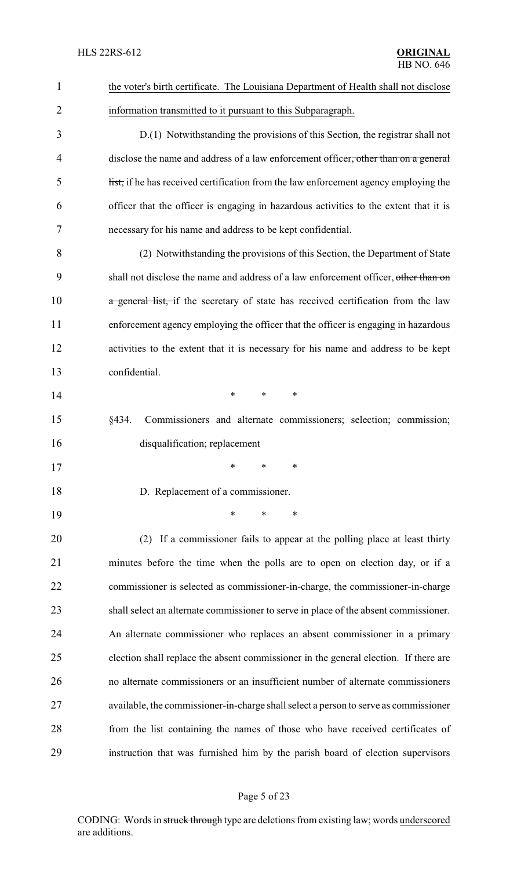| $\mathbf{1}$   | the voter's birth certificate. The Louisiana Department of Health shall not disclose  |
|----------------|---------------------------------------------------------------------------------------|
| $\overline{2}$ | information transmitted to it pursuant to this Subparagraph.                          |
| 3              | D.(1) Notwithstanding the provisions of this Section, the registrar shall not         |
| 4              | disclose the name and address of a law enforcement officer, other than on a general   |
| 5              | list, if he has received certification from the law enforcement agency employing the  |
| 6              | officer that the officer is engaging in hazardous activities to the extent that it is |
| 7              | necessary for his name and address to be kept confidential.                           |
| 8              | (2) Notwithstanding the provisions of this Section, the Department of State           |
| 9              | shall not disclose the name and address of a law enforcement officer, other than on   |
| 10             | a general list, if the secretary of state has received certification from the law     |
| 11             | enforcement agency employing the officer that the officer is engaging in hazardous    |
| 12             | activities to the extent that it is necessary for his name and address to be kept     |
| 13             | confidential.                                                                         |
| 14             | $\ast$<br>$\ast$<br>∗                                                                 |
| 15             | §434.<br>Commissioners and alternate commissioners; selection; commission;            |
| 16             | disqualification; replacement                                                         |
| 17             | ∗<br>∗<br>∗                                                                           |
| 18             | D. Replacement of a commissioner.                                                     |
| 19             | *<br>$\ast$<br>∗                                                                      |
| 20             | (2) If a commissioner fails to appear at the polling place at least thirty            |
| 21             | minutes before the time when the polls are to open on election day, or if a           |
| 22             | commissioner is selected as commissioner-in-charge, the commissioner-in-charge        |
| 23             | shall select an alternate commissioner to serve in place of the absent commissioner.  |
| 24             | An alternate commissioner who replaces an absent commissioner in a primary            |
| 25             | election shall replace the absent commissioner in the general election. If there are  |
| 26             | no alternate commissioners or an insufficient number of alternate commissioners       |
| 27             | available, the commissioner-in-charge shall select a person to serve as commissioner  |
| 28             | from the list containing the names of those who have received certificates of         |
| 29             | instruction that was furnished him by the parish board of election supervisors        |
|                |                                                                                       |

# Page 5 of 23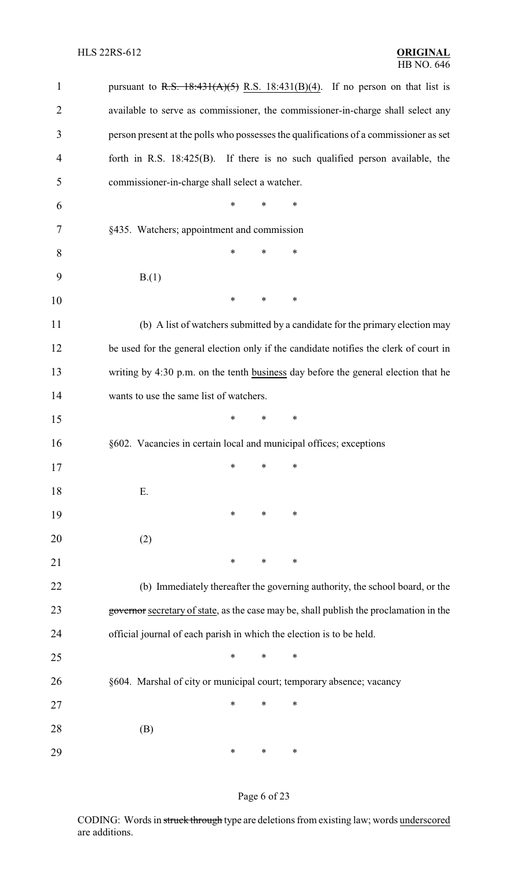| $\mathbf{1}$   | pursuant to R.S. $18:431(A)(5)$ R.S. $18:431(B)(4)$ . If no person on that list is     |
|----------------|----------------------------------------------------------------------------------------|
| $\overline{2}$ | available to serve as commissioner, the commissioner-in-charge shall select any        |
| 3              | person present at the polls who possesses the qualifications of a commissioner as set  |
| $\overline{4}$ | forth in R.S. $18:425(B)$ . If there is no such qualified person available, the        |
| 5              | commissioner-in-charge shall select a watcher.                                         |
| 6              | $\ast$<br>$\ast$<br>*                                                                  |
| 7              | §435. Watchers; appointment and commission                                             |
| 8              | ∗<br>∗<br>∗                                                                            |
| 9              | B(1)                                                                                   |
| 10             | $\ast$<br>*<br>$\ast$                                                                  |
| 11             | (b) A list of watchers submitted by a candidate for the primary election may           |
| 12             | be used for the general election only if the candidate notifies the clerk of court in  |
| 13             | writing by 4:30 p.m. on the tenth business day before the general election that he     |
| 14             | wants to use the same list of watchers.                                                |
| 15             | $\ast$<br>*<br>∗                                                                       |
| 16             | §602. Vacancies in certain local and municipal offices; exceptions                     |
| 17             | $\ast$ . The set of $\ast$<br>$\ast$ $\cdots$<br>∗                                     |
| 18             | Ε.                                                                                     |
| 19             | $\ast$<br>∗<br>∗                                                                       |
| 20             | (2)                                                                                    |
| 21             | ∗<br>∗<br>$\ast$                                                                       |
| 22             | (b) Immediately thereafter the governing authority, the school board, or the           |
| 23             | governor secretary of state, as the case may be, shall publish the proclamation in the |
| 24             | official journal of each parish in which the election is to be held.                   |
| 25             | *<br>$\ast$<br>∗                                                                       |
| 26             | §604. Marshal of city or municipal court; temporary absence; vacancy                   |
| 27             | ∗<br>∗<br>∗                                                                            |
| 28             | (B)                                                                                    |
| 29             | ∗<br>∗<br>$\ast$                                                                       |

# Page 6 of 23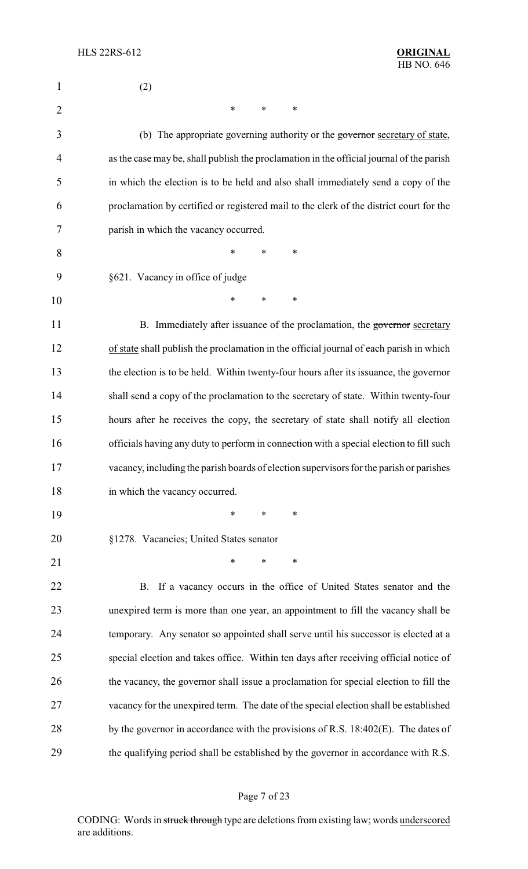| 1              | (2)                                                                                      |
|----------------|------------------------------------------------------------------------------------------|
| $\overline{2}$ | $\ast$<br>$\ast$<br>∗                                                                    |
| 3              | (b) The appropriate governing authority or the governor secretary of state,              |
| 4              | as the case may be, shall publish the proclamation in the official journal of the parish |
| 5              | in which the election is to be held and also shall immediately send a copy of the        |
| 6              | proclamation by certified or registered mail to the clerk of the district court for the  |
| 7              | parish in which the vacancy occurred.                                                    |
| 8              | ∗<br>*<br>*                                                                              |
| 9              | §621. Vacancy in office of judge                                                         |
| 10             | *<br>$\ast$<br>∗                                                                         |
| 11             | B. Immediately after issuance of the proclamation, the governor secretary                |
| 12             | of state shall publish the proclamation in the official journal of each parish in which  |
| 13             | the election is to be held. Within twenty-four hours after its issuance, the governor    |
| 14             | shall send a copy of the proclamation to the secretary of state. Within twenty-four      |
| 15             | hours after he receives the copy, the secretary of state shall notify all election       |
| 16             | officials having any duty to perform in connection with a special election to fill such  |
| 17             | vacancy, including the parish boards of election supervisors for the parish or parishes  |
| 18             | in which the vacancy occurred.                                                           |
| 19             | $\ast$<br>$\ast$<br>∗                                                                    |
| 20             | §1278. Vacancies; United States senator                                                  |
| 21             | $\ast$<br>*<br>∗                                                                         |
| 22             | B. If a vacancy occurs in the office of United States senator and the                    |
| 23             | unexpired term is more than one year, an appointment to fill the vacancy shall be        |
| 24             | temporary. Any senator so appointed shall serve until his successor is elected at a      |
| 25             | special election and takes office. Within ten days after receiving official notice of    |
| 26             | the vacancy, the governor shall issue a proclamation for special election to fill the    |
| 27             | vacancy for the unexpired term. The date of the special election shall be established    |
| 28             | by the governor in accordance with the provisions of R.S. $18:402(E)$ . The dates of     |
| 29             | the qualifying period shall be established by the governor in accordance with R.S.       |

# Page 7 of 23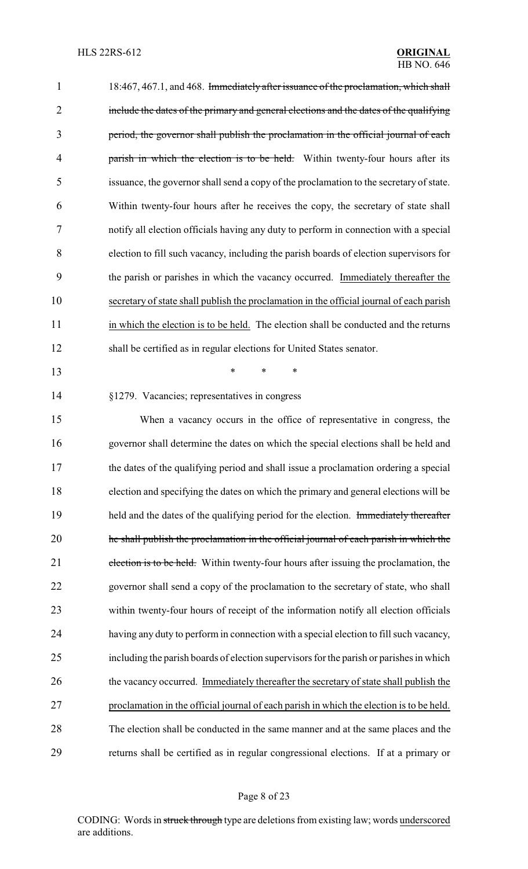| $\mathbf 1$    | 18:467, 467.1, and 468. Immediately after issuance of the proclamation, which shall      |
|----------------|------------------------------------------------------------------------------------------|
| $\overline{2}$ | include the dates of the primary and general elections and the dates of the qualifying   |
| 3              | period, the governor shall publish the proclamation in the official journal of each      |
| 4              | parish in which the election is to be held. Within twenty-four hours after its           |
| 5              | issuance, the governor shall send a copy of the proclamation to the secretary of state.  |
| 6              | Within twenty-four hours after he receives the copy, the secretary of state shall        |
| 7              | notify all election officials having any duty to perform in connection with a special    |
| 8              | election to fill such vacancy, including the parish boards of election supervisors for   |
| 9              | the parish or parishes in which the vacancy occurred. Immediately thereafter the         |
| 10             | secretary of state shall publish the proclamation in the official journal of each parish |
| 11             | in which the election is to be held. The election shall be conducted and the returns     |
| 12             | shall be certified as in regular elections for United States senator.                    |
| 13             | *<br>*<br>$\ast$                                                                         |
| 14             | §1279. Vacancies; representatives in congress                                            |
| 15             | When a vacancy occurs in the office of representative in congress, the                   |
| 16             | governor shall determine the dates on which the special elections shall be held and      |
| 17             | the dates of the qualifying period and shall issue a proclamation ordering a special     |
| 18             | election and specifying the dates on which the primary and general elections will be     |
| 19             | held and the dates of the qualifying period for the election. Immediately thereafter     |
| 20             | he shall publish the proclamation in the official journal of each parish in which the    |
| 21             | election is to be held. Within twenty-four hours after issuing the proclamation, the     |
| 22             | governor shall send a copy of the proclamation to the secretary of state, who shall      |
| 23             | within twenty-four hours of receipt of the information notify all election officials     |
| 24             | having any duty to perform in connection with a special election to fill such vacancy,   |
| 25             | including the parish boards of election supervisors for the parish or parishes in which  |
| 26             | the vacancy occurred. Immediately thereafter the secretary of state shall publish the    |
| 27             | proclamation in the official journal of each parish in which the election is to be held. |
| 28             | The election shall be conducted in the same manner and at the same places and the        |
| 29             | returns shall be certified as in regular congressional elections. If at a primary or     |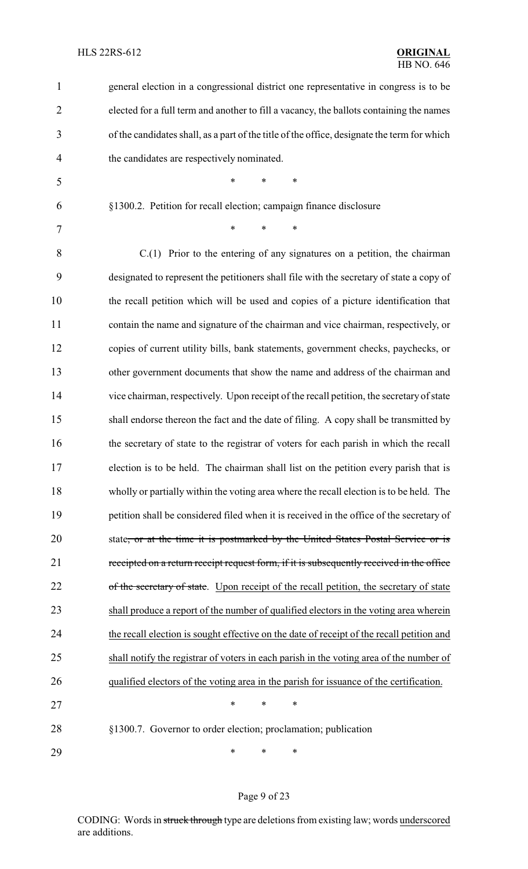| $\mathbf{1}$   | general election in a congressional district one representative in congress is to be        |
|----------------|---------------------------------------------------------------------------------------------|
| $\overline{2}$ | elected for a full term and another to fill a vacancy, the ballots containing the names     |
| 3              | of the candidates shall, as a part of the title of the office, designate the term for which |
| 4              | the candidates are respectively nominated.                                                  |
| 5              | *<br>$\ast$<br>$\ast$                                                                       |
| 6              | §1300.2. Petition for recall election; campaign finance disclosure                          |
| 7              | *<br>$\ast$<br>$\ast$                                                                       |
| 8              | $C(1)$ Prior to the entering of any signatures on a petition, the chairman                  |
| 9              | designated to represent the petitioners shall file with the secretary of state a copy of    |
| 10             | the recall petition which will be used and copies of a picture identification that          |
| 11             | contain the name and signature of the chairman and vice chairman, respectively, or          |
| 12             | copies of current utility bills, bank statements, government checks, paychecks, or          |
| 13             | other government documents that show the name and address of the chairman and               |
| 14             | vice chairman, respectively. Upon receipt of the recall petition, the secretary of state    |
| 15             | shall endorse thereon the fact and the date of filing. A copy shall be transmitted by       |
| 16             | the secretary of state to the registrar of voters for each parish in which the recall       |
| 17             | election is to be held. The chairman shall list on the petition every parish that is        |
| 18             | wholly or partially within the voting area where the recall election is to be held. The     |
| 19             | petition shall be considered filed when it is received in the office of the secretary of    |
| 20             | state, or at the time it is postmarked by the United States Postal Service or is            |
| 21             | receipted on a return receipt request form, if it is subsequently received in the office    |
| 22             | of the secretary of state. Upon receipt of the recall petition, the secretary of state      |
| 23             | shall produce a report of the number of qualified electors in the voting area wherein       |
| 24             | the recall election is sought effective on the date of receipt of the recall petition and   |
| 25             | shall notify the registrar of voters in each parish in the voting area of the number of     |
| 26             | qualified electors of the voting area in the parish for issuance of the certification.      |
| 27             | $\ast$<br>$\ast$<br>*                                                                       |
| 28             | §1300.7. Governor to order election; proclamation; publication                              |
| 29             | ∗<br>$\ast$<br>$\ast$                                                                       |

# Page 9 of 23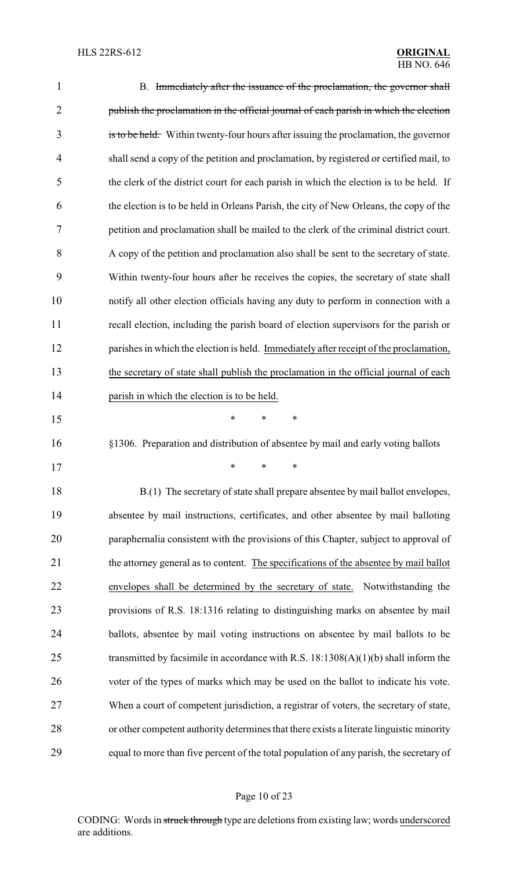| $\mathbf{1}$   | B. Immediately after the issuance of the proclamation, the governor shall                |
|----------------|------------------------------------------------------------------------------------------|
| $\overline{2}$ | publish the proclamation in the official journal of each parish in which the election    |
| 3              | is to be held. Within twenty-four hours after issuing the proclamation, the governor     |
| $\overline{4}$ | shall send a copy of the petition and proclamation, by registered or certified mail, to  |
| 5              | the clerk of the district court for each parish in which the election is to be held. If  |
| 6              | the election is to be held in Orleans Parish, the city of New Orleans, the copy of the   |
| 7              | petition and proclamation shall be mailed to the clerk of the criminal district court.   |
| 8              | A copy of the petition and proclamation also shall be sent to the secretary of state.    |
| 9              | Within twenty-four hours after he receives the copies, the secretary of state shall      |
| 10             | notify all other election officials having any duty to perform in connection with a      |
| 11             | recall election, including the parish board of election supervisors for the parish or    |
| 12             | parishes in which the election is held. Immediately after receipt of the proclamation,   |
| 13             | the secretary of state shall publish the proclamation in the official journal of each    |
| 14             | parish in which the election is to be held.                                              |
| 15             | $\ast$<br>*<br>∗                                                                         |
| 16             | §1306. Preparation and distribution of absentee by mail and early voting ballots         |
| 17             | $*$ * *                                                                                  |
| 18             | B.(1) The secretary of state shall prepare absentee by mail ballot envelopes,            |
| 19             | absentee by mail instructions, certificates, and other absentee by mail balloting        |
| 20             | paraphernalia consistent with the provisions of this Chapter, subject to approval of     |
| 21             | the attorney general as to content. The specifications of the absentee by mail ballot    |
| 22             | envelopes shall be determined by the secretary of state.<br>Notwithstanding the          |
| 23             | provisions of R.S. 18:1316 relating to distinguishing marks on absentee by mail          |
| 24             | ballots, absentee by mail voting instructions on absentee by mail ballots to be          |
| 25             | transmitted by facsimile in accordance with R.S. $18:1308(A)(1)(b)$ shall inform the     |
| 26             | voter of the types of marks which may be used on the ballot to indicate his vote.        |
| 27             | When a court of competent jurisdiction, a registrar of voters, the secretary of state,   |
| 28             | or other competent authority determines that there exists a literate linguistic minority |
| 29             | equal to more than five percent of the total population of any parish, the secretary of  |

# Page 10 of 23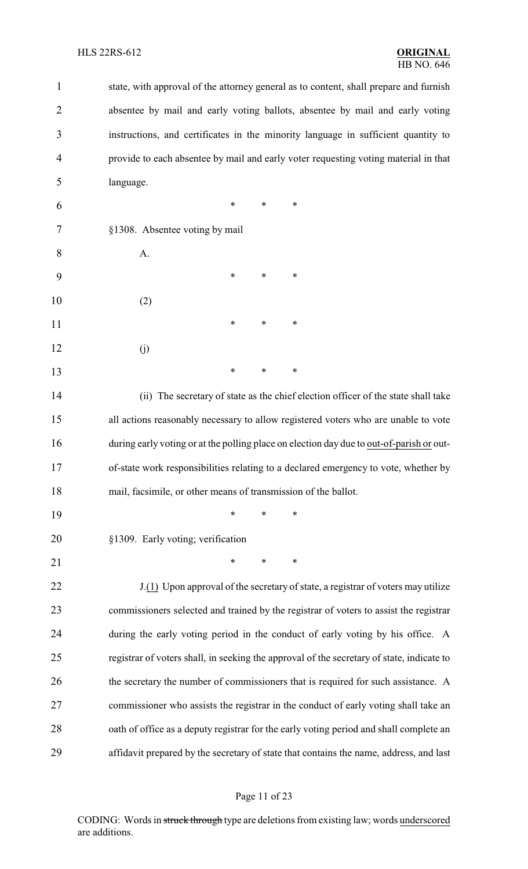state, with approval of the attorney general as to content, shall prepare and furnish absentee by mail and early voting ballots, absentee by mail and early voting instructions, and certificates in the minority language in sufficient quantity to provide to each absentee by mail and early voter requesting voting material in that language. \* \* \* §1308. Absentee voting by mail A. \* \* \* (2) **\*** \* \* \* (j) \* \* \* (ii) The secretary of state as the chief election officer of the state shall take all actions reasonably necessary to allow registered voters who are unable to vote during early voting or at the polling place on election day due to out-of-parish or out- of-state work responsibilities relating to a declared emergency to vote, whether by mail, facsimile, or other means of transmission of the ballot. \* \* \* §1309. Early voting; verification 21 \* \* \* \* 22 J.(1) Upon approval of the secretary of state, a registrar of voters may utilize commissioners selected and trained by the registrar of voters to assist the registrar during the early voting period in the conduct of early voting by his office. A registrar of voters shall, in seeking the approval of the secretary of state, indicate to 26 the secretary the number of commissioners that is required for such assistance. A commissioner who assists the registrar in the conduct of early voting shall take an 28 oath of office as a deputy registrar for the early voting period and shall complete an affidavit prepared by the secretary of state that contains the name, address, and last

### Page 11 of 23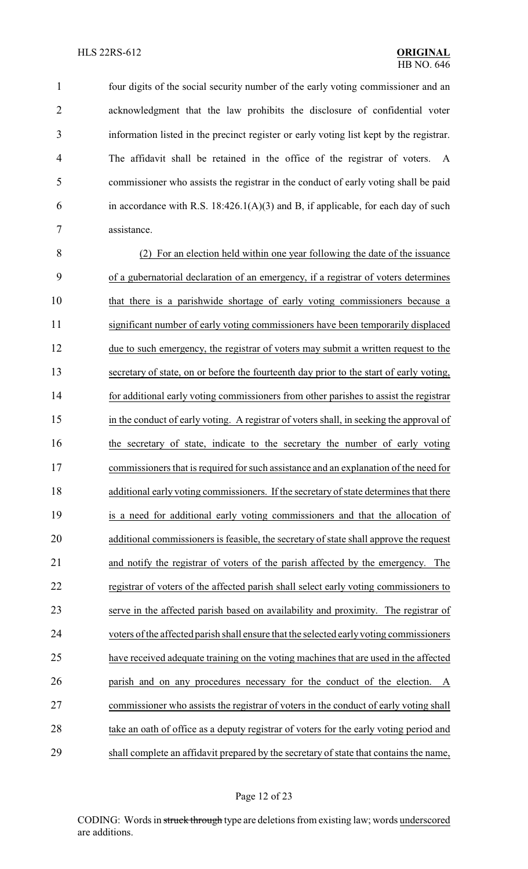four digits of the social security number of the early voting commissioner and an acknowledgment that the law prohibits the disclosure of confidential voter information listed in the precinct register or early voting list kept by the registrar. The affidavit shall be retained in the office of the registrar of voters. A commissioner who assists the registrar in the conduct of early voting shall be paid 6 in accordance with R.S.  $18:426.1(A)(3)$  and B, if applicable, for each day of such assistance.

 (2) For an election held within one year following the date of the issuance of a gubernatorial declaration of an emergency, if a registrar of voters determines that there is a parishwide shortage of early voting commissioners because a significant number of early voting commissioners have been temporarily displaced due to such emergency, the registrar of voters may submit a written request to the secretary of state, on or before the fourteenth day prior to the start of early voting, for additional early voting commissioners from other parishes to assist the registrar in the conduct of early voting. A registrar of voters shall, in seeking the approval of the secretary of state, indicate to the secretary the number of early voting commissioners that is required for such assistance and an explanation of the need for 18 additional early voting commissioners. If the secretary of state determines that there is a need for additional early voting commissioners and that the allocation of additional commissioners is feasible, the secretary of state shall approve the request and notify the registrar of voters of the parish affected by the emergency. The registrar of voters of the affected parish shall select early voting commissioners to serve in the affected parish based on availability and proximity. The registrar of voters of the affected parish shall ensure that the selected earlyvoting commissioners have received adequate training on the voting machines that are used in the affected parish and on any procedures necessary for the conduct of the election. A commissioner who assists the registrar of voters in the conduct of early voting shall 28 take an oath of office as a deputy registrar of voters for the early voting period and shall complete an affidavit prepared by the secretary of state that contains the name,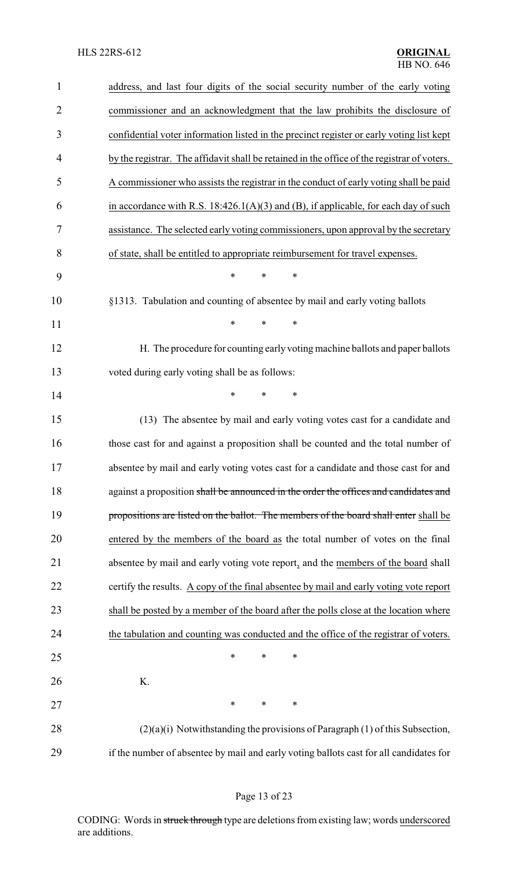| $\mathbf{1}$   | address, and last four digits of the social security number of the early voting             |
|----------------|---------------------------------------------------------------------------------------------|
| $\overline{2}$ | commissioner and an acknowledgment that the law prohibits the disclosure of                 |
| 3              | confidential voter information listed in the precinct register or early voting list kept    |
| 4              | by the registrar. The affidavit shall be retained in the office of the registrar of voters. |
| 5              | A commissioner who assists the registrar in the conduct of early voting shall be paid       |
| 6              | in accordance with R.S. $18:426.1(A)(3)$ and (B), if applicable, for each day of such       |
| 7              | assistance. The selected early voting commissioners, upon approval by the secretary         |
| 8              | of state, shall be entitled to appropriate reimbursement for travel expenses.               |
| 9              | $\ast$<br>$\ast$<br>$\ast$                                                                  |
| 10             | §1313. Tabulation and counting of absentee by mail and early voting ballots                 |
| 11             | $\ast$<br>*<br>$\ast$                                                                       |
| 12             | H. The procedure for counting early voting machine ballots and paper ballots                |
| 13             | voted during early voting shall be as follows:                                              |
| 14             | $\ast$<br>$\ast$<br>$\ast$                                                                  |
| 15             | (13) The absentee by mail and early voting votes cast for a candidate and                   |
| 16             | those cast for and against a proposition shall be counted and the total number of           |
| 17             | absentee by mail and early voting votes cast for a candidate and those cast for and         |
| 18             | against a proposition shall be announced in the order the offices and candidates and        |
| 19             | propositions are listed on the ballot. The members of the board shall enter shall be        |
| 20             | entered by the members of the board as the total number of votes on the final               |
| 21             | absentee by mail and early voting vote report, and the members of the board shall           |
| 22             | certify the results. A copy of the final absentee by mail and early voting vote report      |
| 23             | shall be posted by a member of the board after the polls close at the location where        |
| 24             | the tabulation and counting was conducted and the office of the registrar of voters.        |
| 25             | $\ast$<br>$\ast$<br>∗                                                                       |
| 26             | K.                                                                                          |
| 27             | $\ast$<br>$\ast$<br>$\ast$                                                                  |
| 28             | $(2)(a)(i)$ Notwithstanding the provisions of Paragraph $(1)$ of this Subsection,           |
| 29             | if the number of absentee by mail and early voting ballots cast for all candidates for      |

# Page 13 of 23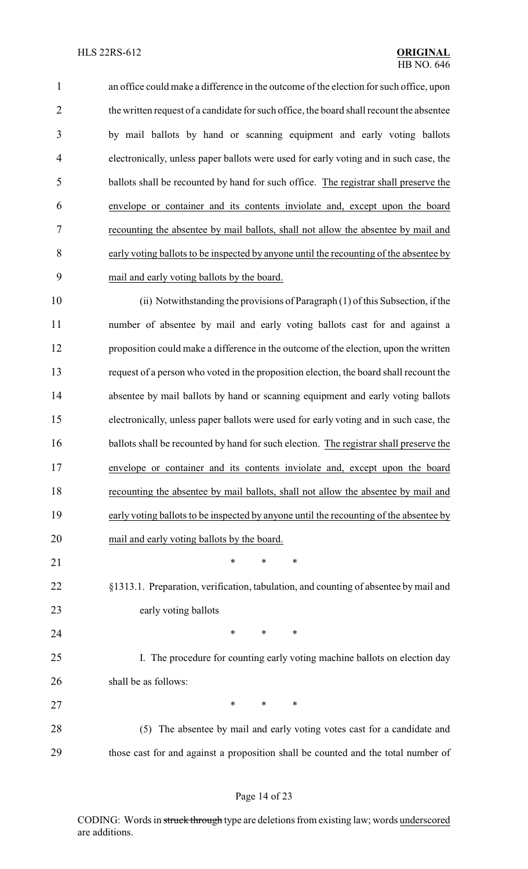an office could make a difference in the outcome of the election for such office, upon 2 the written request of a candidate for such office, the board shall recount the absentee by mail ballots by hand or scanning equipment and early voting ballots electronically, unless paper ballots were used for early voting and in such case, the ballots shall be recounted by hand for such office. The registrar shall preserve the envelope or container and its contents inviolate and, except upon the board recounting the absentee by mail ballots, shall not allow the absentee by mail and early voting ballots to be inspected by anyone until the recounting of the absentee by mail and early voting ballots by the board.

 (ii) Notwithstanding the provisions of Paragraph (1) of this Subsection, if the number of absentee by mail and early voting ballots cast for and against a proposition could make a difference in the outcome of the election, upon the written request of a person who voted in the proposition election, the board shall recount the absentee by mail ballots by hand or scanning equipment and early voting ballots electronically, unless paper ballots were used for early voting and in such case, the ballots shall be recounted by hand for such election. The registrar shall preserve the envelope or container and its contents inviolate and, except upon the board recounting the absentee by mail ballots, shall not allow the absentee by mail and early voting ballots to be inspected by anyone until the recounting of the absentee by mail and early voting ballots by the board. 21 \* \* \* \*

 §1313.1. Preparation, verification, tabulation, and counting of absentee by mail and early voting ballots

**\*** \* \* \*

 I. The procedure for counting early voting machine ballots on election day shall be as follows:

27 \* \* \* \*

 (5) The absentee by mail and early voting votes cast for a candidate and those cast for and against a proposition shall be counted and the total number of

### Page 14 of 23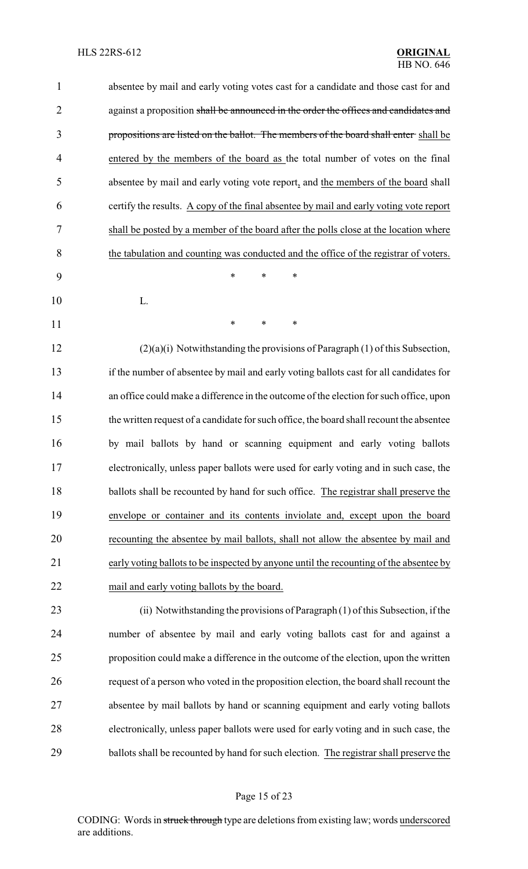| $\mathbf{1}$   | absentee by mail and early voting votes cast for a candidate and those cast for and      |
|----------------|------------------------------------------------------------------------------------------|
| $\overline{2}$ | against a proposition shall be announced in the order the offices and candidates and     |
| 3              | propositions are listed on the ballot. The members of the board shall enter shall be     |
| $\overline{4}$ | entered by the members of the board as the total number of votes on the final            |
| 5              | absentee by mail and early voting vote report, and the members of the board shall        |
| 6              | certify the results. A copy of the final absentee by mail and early voting vote report   |
| 7              | shall be posted by a member of the board after the polls close at the location where     |
| 8              | the tabulation and counting was conducted and the office of the registrar of voters.     |
| 9              | ∗<br>*<br>∗                                                                              |
| 10             | L.                                                                                       |
| 11             | ∗<br>$\ast$<br>∗                                                                         |
| 12             | $(2)(a)(i)$ Notwithstanding the provisions of Paragraph $(1)$ of this Subsection,        |
| 13             | if the number of absentee by mail and early voting ballots cast for all candidates for   |
| 14             | an office could make a difference in the outcome of the election for such office, upon   |
| 15             | the written request of a candidate for such office, the board shall recount the absentee |
| 16             | by mail ballots by hand or scanning equipment and early voting ballots                   |
| 17             | electronically, unless paper ballots were used for early voting and in such case, the    |
| 18             | ballots shall be recounted by hand for such office. The registrar shall preserve the     |
| 19             | envelope or container and its contents inviolate and, except upon the board              |
| 20             | recounting the absentee by mail ballots, shall not allow the absentee by mail and        |
| 21             | early voting ballots to be inspected by anyone until the recounting of the absentee by   |
| 22             | mail and early voting ballots by the board.                                              |
| 23             | (ii) Notwithstanding the provisions of Paragraph (1) of this Subsection, if the          |
| 24             | number of absentee by mail and early voting ballots cast for and against a               |
| 25             | proposition could make a difference in the outcome of the election, upon the written     |
| 26             | request of a person who voted in the proposition election, the board shall recount the   |
| 27             | absentee by mail ballots by hand or scanning equipment and early voting ballots          |
| 28             | electronically, unless paper ballots were used for early voting and in such case, the    |
| 29             | ballots shall be recounted by hand for such election. The registrar shall preserve the   |
|                |                                                                                          |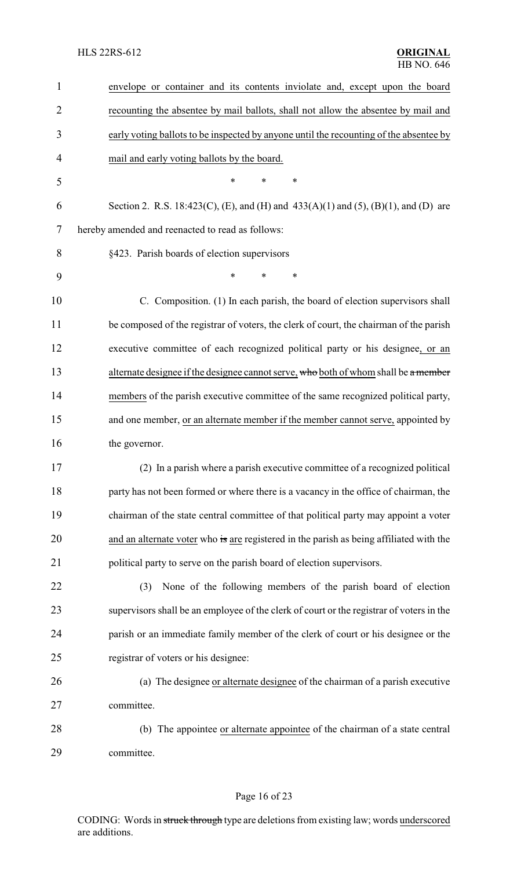| $\mathbf{1}$   | envelope or container and its contents inviolate and, except upon the board              |
|----------------|------------------------------------------------------------------------------------------|
| $\overline{2}$ | recounting the absentee by mail ballots, shall not allow the absentee by mail and        |
| 3              | early voting ballots to be inspected by anyone until the recounting of the absentee by   |
| $\overline{4}$ | mail and early voting ballots by the board.                                              |
| 5              | $\ast$<br>$\ast$<br>$\ast$                                                               |
| 6              | Section 2. R.S. 18:423(C), (E), and (H) and 433(A)(1) and (5), (B)(1), and (D) are       |
| 7              | hereby amended and reenacted to read as follows:                                         |
| 8              | §423. Parish boards of election supervisors                                              |
| 9              | *<br>$\ast$<br>∗                                                                         |
| 10             | C. Composition. (1) In each parish, the board of election supervisors shall              |
| 11             | be composed of the registrar of voters, the clerk of court, the chairman of the parish   |
| 12             | executive committee of each recognized political party or his designee, or an            |
| 13             | alternate designee if the designee cannot serve, who both of whom shall be a member      |
| 14             | members of the parish executive committee of the same recognized political party,        |
| 15             | and one member, or an alternate member if the member cannot serve, appointed by          |
| 16             | the governor.                                                                            |
| 17             | (2) In a parish where a parish executive committee of a recognized political             |
| 18             | party has not been formed or where there is a vacancy in the office of chairman, the     |
| 19             | chairman of the state central committee of that political party may appoint a voter      |
| 20             | and an alternate voter who is are registered in the parish as being affiliated with the  |
| 21             | political party to serve on the parish board of election supervisors.                    |
| 22             | None of the following members of the parish board of election<br>(3)                     |
| 23             | supervisors shall be an employee of the clerk of court or the registrar of voters in the |
| 24             | parish or an immediate family member of the clerk of court or his designee or the        |
| 25             | registrar of voters or his designee:                                                     |
| 26             | (a) The designee or alternate designee of the chairman of a parish executive             |
| 27             | committee.                                                                               |
| 28             | (b) The appointee or alternate appointee of the chairman of a state central              |
| 29             | committee.                                                                               |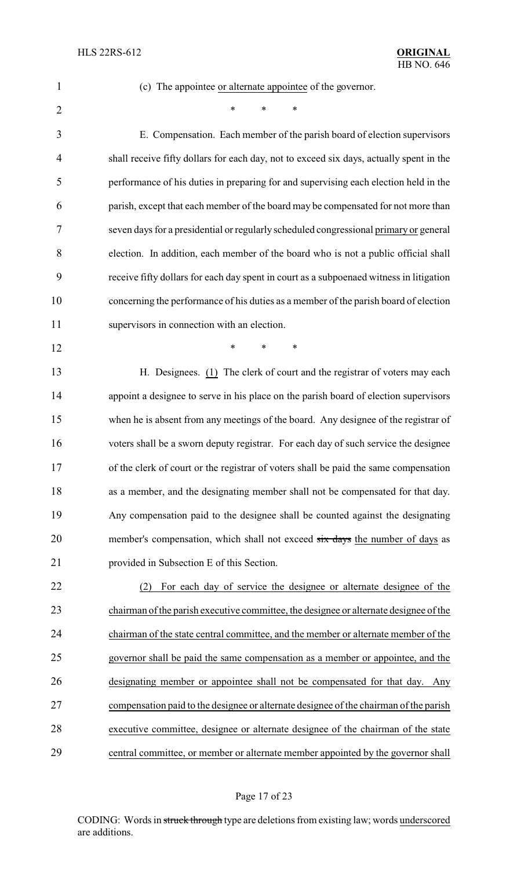(c) The appointee or alternate appointee of the governor.

 $*$  \* \* \*

 E. Compensation. Each member of the parish board of election supervisors shall receive fifty dollars for each day, not to exceed six days, actually spent in the performance of his duties in preparing for and supervising each election held in the parish, except that each member of the board may be compensated for not more than seven days for a presidential or regularly scheduled congressional primary or general election. In addition, each member of the board who is not a public official shall receive fifty dollars for each day spent in court as a subpoenaed witness in litigation concerning the performance of his duties as a member of the parish board of election supervisors in connection with an election.

**\*** \* \* \*

 H. Designees. (1) The clerk of court and the registrar of voters may each appoint a designee to serve in his place on the parish board of election supervisors when he is absent from any meetings of the board. Any designee of the registrar of voters shall be a sworn deputy registrar. For each day of such service the designee of the clerk of court or the registrar of voters shall be paid the same compensation as a member, and the designating member shall not be compensated for that day. Any compensation paid to the designee shall be counted against the designating 20 member's compensation, which shall not exceed six days the number of days as provided in Subsection E of this Section.

 (2) For each day of service the designee or alternate designee of the chairman of the parish executive committee, the designee or alternate designee of the chairman of the state central committee, and the member or alternate member of the governor shall be paid the same compensation as a member or appointee, and the designating member or appointee shall not be compensated for that day. Any compensation paid to the designee or alternate designee of the chairman of the parish executive committee, designee or alternate designee of the chairman of the state central committee, or member or alternate member appointed by the governor shall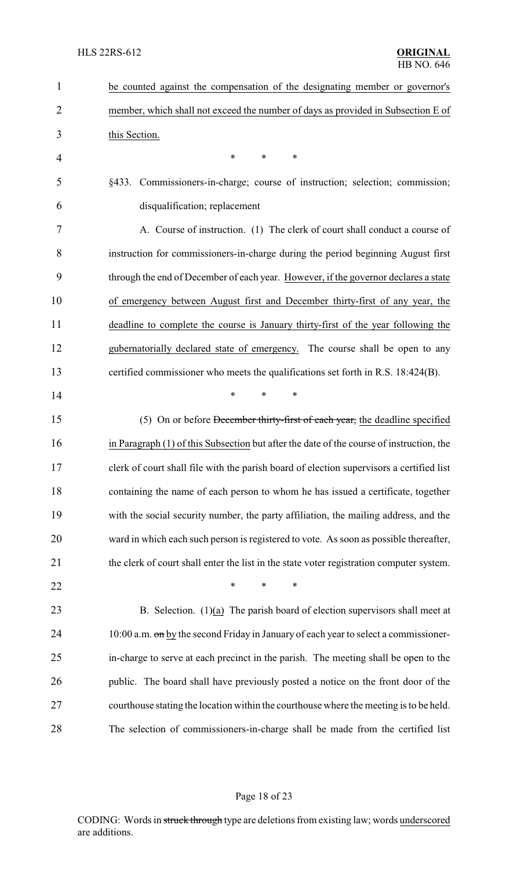| $\mathbf{1}$ | be counted against the compensation of the designating member or governor's              |
|--------------|------------------------------------------------------------------------------------------|
| 2            | member, which shall not exceed the number of days as provided in Subsection E of         |
| 3            | this Section.                                                                            |
| 4            | *<br>$\ast$<br>∗                                                                         |
| 5            | §433. Commissioners-in-charge; course of instruction; selection; commission;             |
| 6            | disqualification; replacement                                                            |
| 7            | A. Course of instruction. (1) The clerk of court shall conduct a course of               |
| 8            | instruction for commissioners-in-charge during the period beginning August first         |
| 9            | through the end of December of each year. However, if the governor declares a state      |
| 10           | of emergency between August first and December thirty-first of any year, the             |
| 11           | deadline to complete the course is January thirty-first of the year following the        |
| 12           | gubernatorially declared state of emergency. The course shall be open to any             |
| 13           | certified commissioner who meets the qualifications set forth in R.S. 18:424(B).         |
| 14           | $\ast$<br>*<br>∗                                                                         |
| 15           | (5) On or before December thirty-first of each year, the deadline specified              |
| 16           | in Paragraph (1) of this Subsection but after the date of the course of instruction, the |
| 17           | clerk of court shall file with the parish board of election supervisors a certified list |
| 18           | containing the name of each person to whom he has issued a certificate, together         |
| 19           | with the social security number, the party affiliation, the mailing address, and the     |
| 20           | ward in which each such person is registered to vote. As soon as possible thereafter,    |
| 21           | the clerk of court shall enter the list in the state voter registration computer system. |
| 22           | $\ast$<br>*<br>*                                                                         |
| 23           | B. Selection. $(1)(a)$ The parish board of election supervisors shall meet at            |
| 24           | 10:00 a.m. on by the second Friday in January of each year to select a commissioner-     |
| 25           | in-charge to serve at each precinct in the parish. The meeting shall be open to the      |
| 26           | public. The board shall have previously posted a notice on the front door of the         |
| 27           | courthouse stating the location within the courthouse where the meeting is to be held.   |
| 28           | The selection of commissioners-in-charge shall be made from the certified list           |

# Page 18 of 23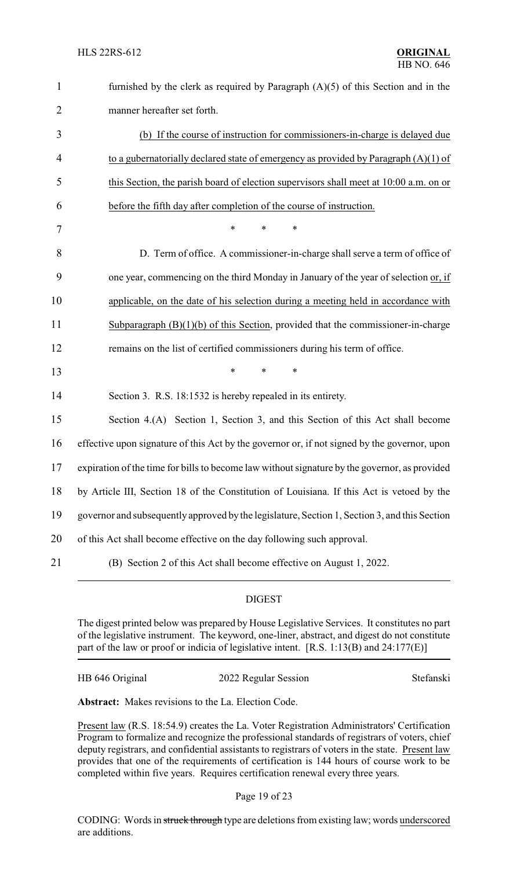| $\mathbf{1}$   | furnished by the clerk as required by Paragraph $(A)(5)$ of this Section and in the           |
|----------------|-----------------------------------------------------------------------------------------------|
| $\overline{2}$ | manner hereafter set forth.                                                                   |
| 3              | (b) If the course of instruction for commissioners-in-charge is delayed due                   |
| 4              | to a gubernatorially declared state of emergency as provided by Paragraph $(A)(1)$ of         |
| 5              | this Section, the parish board of election supervisors shall meet at 10:00 a.m. on or         |
| 6              | before the fifth day after completion of the course of instruction.                           |
| $\tau$         | $\ast$<br>$\ast$<br>∗                                                                         |
| 8              | D. Term of office. A commissioner-in-charge shall serve a term of office of                   |
| 9              | one year, commencing on the third Monday in January of the year of selection or, if           |
| 10             | applicable, on the date of his selection during a meeting held in accordance with             |
| 11             | Subparagraph $(B)(1)(b)$ of this Section, provided that the commissioner-in-charge            |
| 12             | remains on the list of certified commissioners during his term of office.                     |
| 13             | $\ast$<br>$\ast$<br>*                                                                         |
| 14             | Section 3. R.S. 18:1532 is hereby repealed in its entirety.                                   |
| 15             | Section 4.(A) Section 1, Section 3, and this Section of this Act shall become                 |
| 16             | effective upon signature of this Act by the governor or, if not signed by the governor, upon  |
| 17             | expiration of the time for bills to become law without signature by the governor, as provided |
| 18             | by Article III, Section 18 of the Constitution of Louisiana. If this Act is vetoed by the     |
| 19             | governor and subsequently approved by the legislature, Section 1, Section 3, and this Section |
| 20             | of this Act shall become effective on the day following such approval.                        |
| 21             | (B) Section 2 of this Act shall become effective on August 1, 2022.                           |

### DIGEST

The digest printed below was prepared by House Legislative Services. It constitutes no part of the legislative instrument. The keyword, one-liner, abstract, and digest do not constitute part of the law or proof or indicia of legislative intent. [R.S. 1:13(B) and 24:177(E)]

| HB 646 Original | 2022 Regular Session | Stefanski |
|-----------------|----------------------|-----------|
|                 |                      |           |

**Abstract:** Makes revisions to the La. Election Code.

Present law (R.S. 18:54.9) creates the La. Voter Registration Administrators' Certification Program to formalize and recognize the professional standards of registrars of voters, chief deputy registrars, and confidential assistants to registrars of voters in the state. Present law provides that one of the requirements of certification is 144 hours of course work to be completed within five years. Requires certification renewal every three years.

Page 19 of 23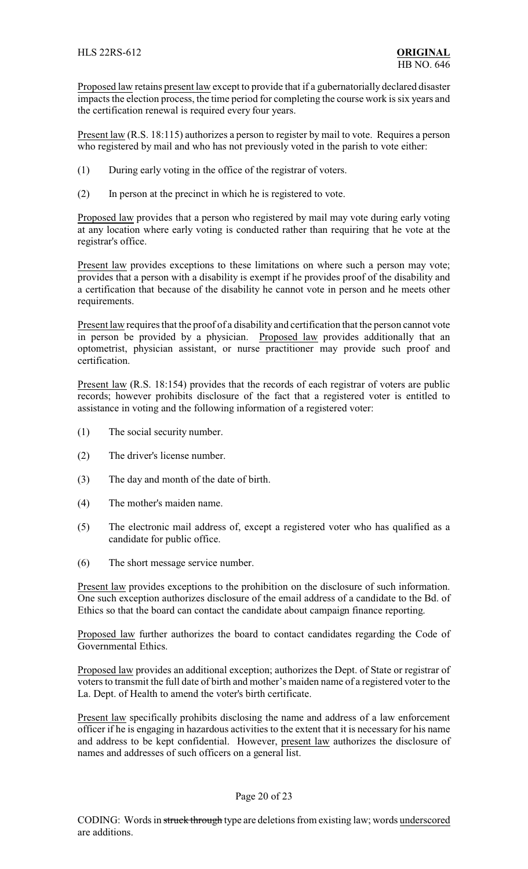Proposed law retains present law except to provide that if a gubernatorially declared disaster impacts the election process, the time period for completing the course work is six years and the certification renewal is required every four years.

Present law (R.S. 18:115) authorizes a person to register by mail to vote. Requires a person who registered by mail and who has not previously voted in the parish to vote either:

- (1) During early voting in the office of the registrar of voters.
- (2) In person at the precinct in which he is registered to vote.

Proposed law provides that a person who registered by mail may vote during early voting at any location where early voting is conducted rather than requiring that he vote at the registrar's office.

Present law provides exceptions to these limitations on where such a person may vote; provides that a person with a disability is exempt if he provides proof of the disability and a certification that because of the disability he cannot vote in person and he meets other requirements.

Present law requires that the proof of a disability and certification that the person cannot vote in person be provided by a physician. Proposed law provides additionally that an optometrist, physician assistant, or nurse practitioner may provide such proof and certification.

Present law (R.S. 18:154) provides that the records of each registrar of voters are public records; however prohibits disclosure of the fact that a registered voter is entitled to assistance in voting and the following information of a registered voter:

- (1) The social security number.
- (2) The driver's license number.
- (3) The day and month of the date of birth.
- (4) The mother's maiden name.
- (5) The electronic mail address of, except a registered voter who has qualified as a candidate for public office.
- (6) The short message service number.

Present law provides exceptions to the prohibition on the disclosure of such information. One such exception authorizes disclosure of the email address of a candidate to the Bd. of Ethics so that the board can contact the candidate about campaign finance reporting.

Proposed law further authorizes the board to contact candidates regarding the Code of Governmental Ethics.

Proposed law provides an additional exception; authorizes the Dept. of State or registrar of voters to transmit the full date of birth and mother's maiden name of a registered voter to the La. Dept. of Health to amend the voter's birth certificate.

Present law specifically prohibits disclosing the name and address of a law enforcement officer if he is engaging in hazardous activities to the extent that it is necessary for his name and address to be kept confidential. However, present law authorizes the disclosure of names and addresses of such officers on a general list.

### Page 20 of 23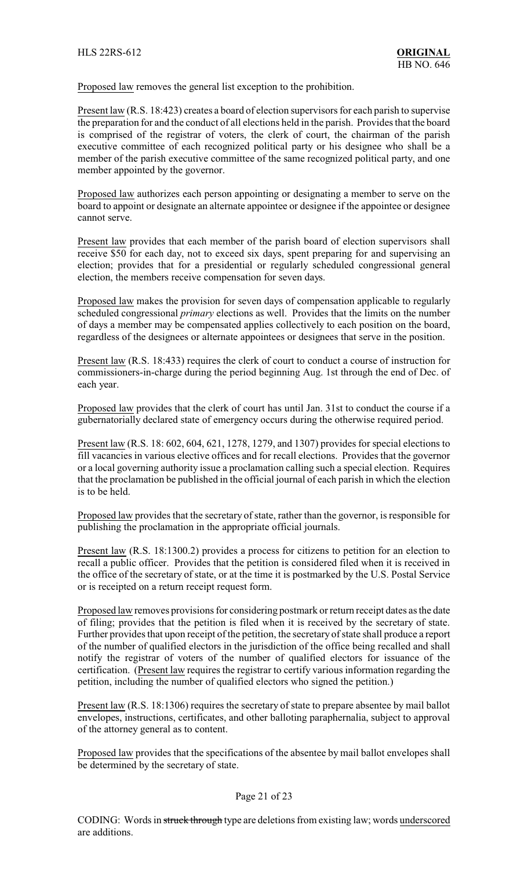Proposed law removes the general list exception to the prohibition.

Present law (R.S. 18:423) creates a board of election supervisors for each parish to supervise the preparation for and the conduct of all elections held in the parish. Provides that the board is comprised of the registrar of voters, the clerk of court, the chairman of the parish executive committee of each recognized political party or his designee who shall be a member of the parish executive committee of the same recognized political party, and one member appointed by the governor.

Proposed law authorizes each person appointing or designating a member to serve on the board to appoint or designate an alternate appointee or designee if the appointee or designee cannot serve.

Present law provides that each member of the parish board of election supervisors shall receive \$50 for each day, not to exceed six days, spent preparing for and supervising an election; provides that for a presidential or regularly scheduled congressional general election, the members receive compensation for seven days.

Proposed law makes the provision for seven days of compensation applicable to regularly scheduled congressional *primary* elections as well. Provides that the limits on the number of days a member may be compensated applies collectively to each position on the board, regardless of the designees or alternate appointees or designees that serve in the position.

Present law (R.S. 18:433) requires the clerk of court to conduct a course of instruction for commissioners-in-charge during the period beginning Aug. 1st through the end of Dec. of each year.

Proposed law provides that the clerk of court has until Jan. 31st to conduct the course if a gubernatorially declared state of emergency occurs during the otherwise required period.

Present law (R.S. 18: 602, 604, 621, 1278, 1279, and 1307) provides for special elections to fill vacancies in various elective offices and for recall elections. Provides that the governor or a local governing authority issue a proclamation calling such a special election. Requires that the proclamation be published in the official journal of each parish in which the election is to be held.

Proposed law provides that the secretary of state, rather than the governor, is responsible for publishing the proclamation in the appropriate official journals.

Present law (R.S. 18:1300.2) provides a process for citizens to petition for an election to recall a public officer. Provides that the petition is considered filed when it is received in the office of the secretary of state, or at the time it is postmarked by the U.S. Postal Service or is receipted on a return receipt request form.

Proposed law removes provisions for considering postmark or return receipt dates as the date of filing; provides that the petition is filed when it is received by the secretary of state. Further provides that upon receipt of the petition, the secretary of state shall produce a report of the number of qualified electors in the jurisdiction of the office being recalled and shall notify the registrar of voters of the number of qualified electors for issuance of the certification. (Present law requires the registrar to certify various information regarding the petition, including the number of qualified electors who signed the petition.)

Present law (R.S. 18:1306) requires the secretary of state to prepare absentee by mail ballot envelopes, instructions, certificates, and other balloting paraphernalia, subject to approval of the attorney general as to content.

Proposed law provides that the specifications of the absentee by mail ballot envelopes shall be determined by the secretary of state.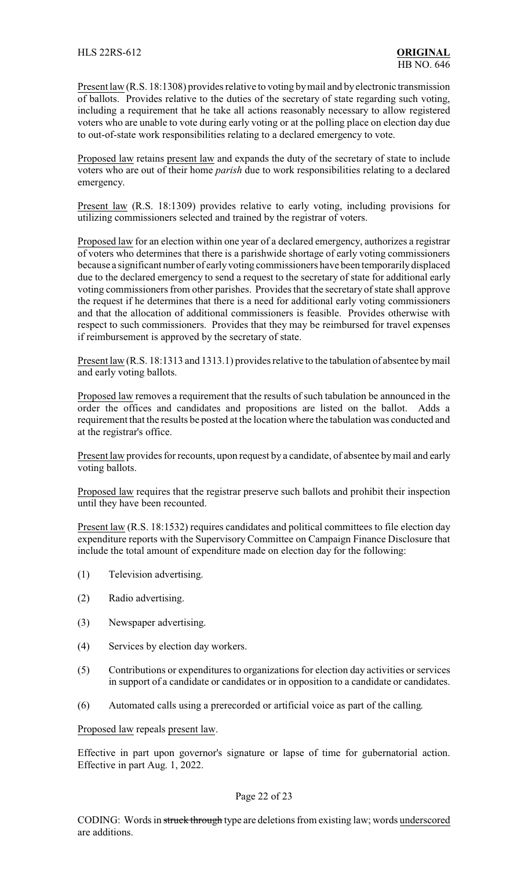Present law (R.S. 18:1308) provides relative to voting by mail and by electronic transmission of ballots. Provides relative to the duties of the secretary of state regarding such voting, including a requirement that he take all actions reasonably necessary to allow registered voters who are unable to vote during early voting or at the polling place on election day due to out-of-state work responsibilities relating to a declared emergency to vote.

Proposed law retains present law and expands the duty of the secretary of state to include voters who are out of their home *parish* due to work responsibilities relating to a declared emergency.

Present law (R.S. 18:1309) provides relative to early voting, including provisions for utilizing commissioners selected and trained by the registrar of voters.

Proposed law for an election within one year of a declared emergency, authorizes a registrar of voters who determines that there is a parishwide shortage of early voting commissioners because a significant number of earlyvoting commissioners have been temporarilydisplaced due to the declared emergency to send a request to the secretary of state for additional early voting commissioners from other parishes. Provides that the secretary of state shall approve the request if he determines that there is a need for additional early voting commissioners and that the allocation of additional commissioners is feasible. Provides otherwise with respect to such commissioners. Provides that they may be reimbursed for travel expenses if reimbursement is approved by the secretary of state.

Present law (R.S. 18:1313 and 1313.1) provides relative to the tabulation of absentee bymail and early voting ballots.

Proposed law removes a requirement that the results of such tabulation be announced in the order the offices and candidates and propositions are listed on the ballot. Adds a requirement that the results be posted at the location where the tabulation was conducted and at the registrar's office.

Present law provides for recounts, upon request by a candidate, of absentee by mail and early voting ballots.

Proposed law requires that the registrar preserve such ballots and prohibit their inspection until they have been recounted.

Present law (R.S. 18:1532) requires candidates and political committees to file election day expenditure reports with the Supervisory Committee on Campaign Finance Disclosure that include the total amount of expenditure made on election day for the following:

- (1) Television advertising.
- (2) Radio advertising.
- (3) Newspaper advertising.
- (4) Services by election day workers.
- (5) Contributions or expenditures to organizations for election day activities or services in support of a candidate or candidates or in opposition to a candidate or candidates.
- (6) Automated calls using a prerecorded or artificial voice as part of the calling.

### Proposed law repeals present law.

Effective in part upon governor's signature or lapse of time for gubernatorial action. Effective in part Aug. 1, 2022.

### Page 22 of 23